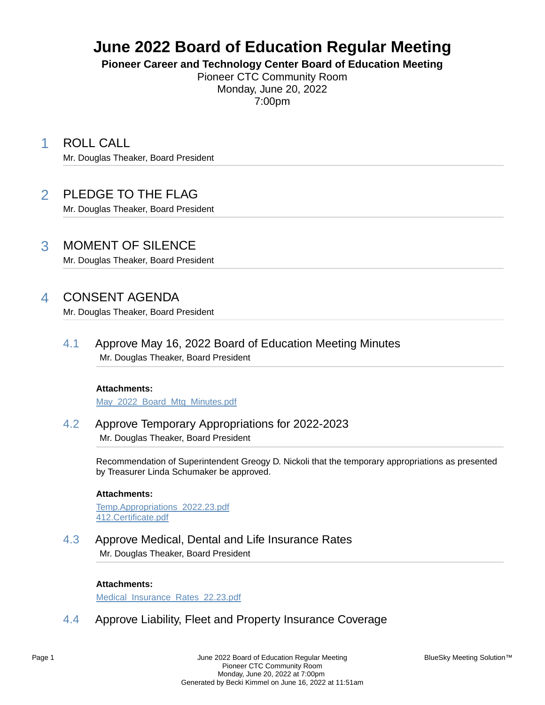# **June 2022 Board of Education Regular Meeting**

**Pioneer Career and Technology Center Board of Education Meeting**

Pioneer CTC Community Room Monday, June 20, 2022 7:00pm

1 ROLL CALL

Mr. Douglas Theaker, Board President

## 2 PLEDGE TO THE FLAG

Mr. Douglas Theaker, Board President

### 3 MOMENT OF SILENCE

Mr. Douglas Theaker, Board President

## 4 CONSENT AGENDA

Mr. Douglas Theaker, Board President

4.1 Approve May 16, 2022 Board of Education Meeting Minutes Mr. Douglas Theaker, Board President

#### **Attachments:**

May\_2022\_Board\_Mtg\_Minutes.pdf

4.2 Approve Temporary Appropriations for 2022-2023 Mr. Douglas Theaker, Board President

> Recommendation of Superintendent Greogy D. Nickoli that the temporary appropriations as presented by Treasurer Linda Schumaker be approved.

#### **Attachments:**

Temp.Appropriations\_2022.23.pdf 412.Certificate.pdf

4.3 Approve Medical, Dental and Life Insurance Rates Mr. Douglas Theaker, Board President

#### **Attachments:**

Medical Insurance Rates 22.23.pdf

4.4 Approve Liability, Fleet and Property Insurance Coverage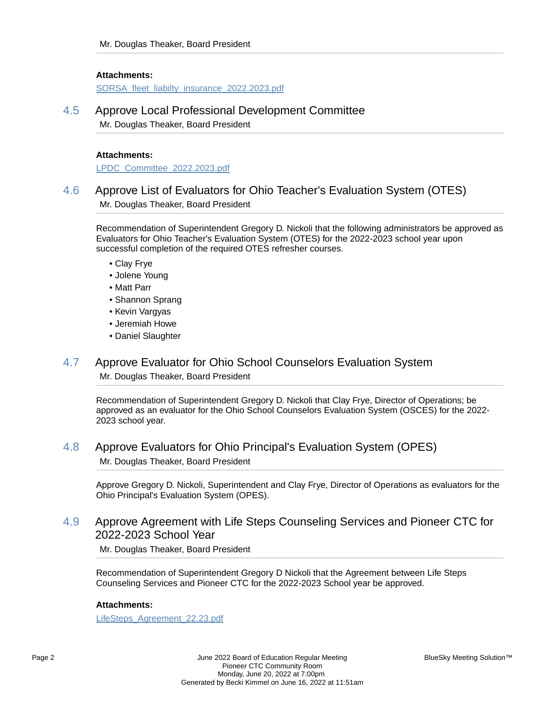#### **Attachments:**

SORSA\_fleet\_liabilty\_insurance\_2022.2023.pdf

### 4.5 Approve Local Professional Development Committee

Mr. Douglas Theaker, Board President

#### **Attachments:**

LPDC\_Committee\_2022.2023.pdf

### 4.6 Approve List of Evaluators for Ohio Teacher's Evaluation System (OTES) Mr. Douglas Theaker, Board President

Recommendation of Superintendent Gregory D. Nickoli that the following administrators be approved as Evaluators for Ohio Teacher's Evaluation System (OTES) for the 2022-2023 school year upon successful completion of the required OTES refresher courses.

- Clay Frye
- Jolene Young
- Matt Parr
- Shannon Sprang
- Kevin Vargyas
- Jeremiah Howe
- Daniel Slaughter

### 4.7 Approve Evaluator for Ohio School Counselors Evaluation System Mr. Douglas Theaker, Board President

Recommendation of Superintendent Gregory D. Nickoli that Clay Frye, Director of Operations; be approved as an evaluator for the Ohio School Counselors Evaluation System (OSCES) for the 2022- 2023 school year.

### 4.8 Approve Evaluators for Ohio Principal's Evaluation System (OPES) Mr. Douglas Theaker, Board President

Approve Gregory D. Nickoli, Superintendent and Clay Frye, Director of Operations as evaluators for the Ohio Principal's Evaluation System (OPES).

### 4.9 Approve Agreement with Life Steps Counseling Services and Pioneer CTC for 2022-2023 School Year

Mr. Douglas Theaker, Board President

Recommendation of Superintendent Gregory D Nickoli that the Agreement between Life Steps Counseling Services and Pioneer CTC for the 2022-2023 School year be approved.

#### **Attachments:**

LifeSteps\_Agreement\_22.23.pdf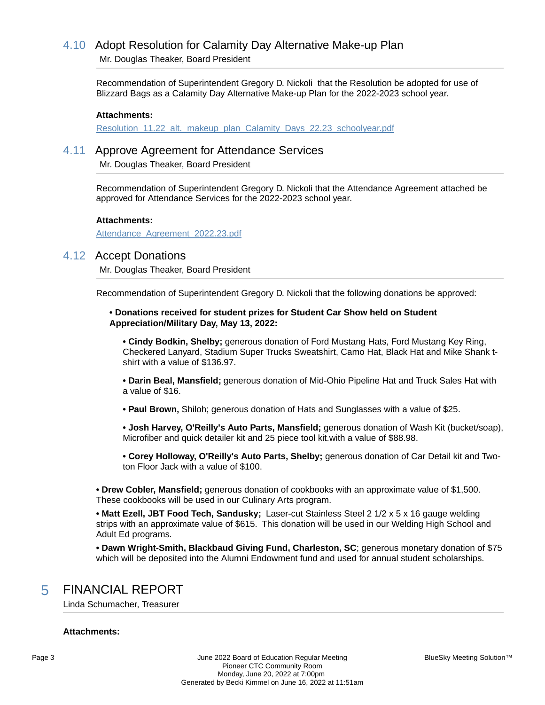## 4.10 Adopt Resolution for Calamity Day Alternative Make-up Plan

Mr. Douglas Theaker, Board President

Recommendation of Superintendent Gregory D. Nickoli that the Resolution be adopted for use of Blizzard Bags as a Calamity Day Alternative Make-up Plan for the 2022-2023 school year.

#### **Attachments:**

Resolution 11.22 alt. makeup plan Calamity Days 22.23 schoolyear.pdf

### 4.11 Approve Agreement for Attendance Services

Mr. Douglas Theaker, Board President

Recommendation of Superintendent Gregory D. Nickoli that the Attendance Agreement attached be approved for Attendance Services for the 2022-2023 school year.

#### **Attachments:**

Attendance Agreement 2022.23.pdf

### 4.12 Accept Donations

Mr. Douglas Theaker, Board President

Recommendation of Superintendent Gregory D. Nickoli that the following donations be approved:

#### **• Donations received for student prizes for Student Car Show held on Student Appreciation/Military Day, May 13, 2022:**

**• Cindy Bodkin, Shelby;** generous donation of Ford Mustang Hats, Ford Mustang Key Ring, Checkered Lanyard, Stadium Super Trucks Sweatshirt, Camo Hat, Black Hat and Mike Shank tshirt with a value of \$136.97.

**• Darin Beal, Mansfield;** generous donation of Mid-Ohio Pipeline Hat and Truck Sales Hat with a value of \$16.

**• Paul Brown,** Shiloh; generous donation of Hats and Sunglasses with a value of \$25.

**• Josh Harvey, O'Reilly's Auto Parts, Mansfield;** generous donation of Wash Kit (bucket/soap), Microfiber and quick detailer kit and 25 piece tool kit.with a value of \$88.98.

**• Corey Holloway, O'Reilly's Auto Parts, Shelby;** generous donation of Car Detail kit and Twoton Floor Jack with a value of \$100.

**• Drew Cobler, Mansfield;** generous donation of cookbooks with an approximate value of \$1,500. These cookbooks will be used in our Culinary Arts program.

**• Matt Ezell, JBT Food Tech, Sandusky;** Laser-cut Stainless Steel 2 1/2 x 5 x 16 gauge welding strips with an approximate value of \$615. This donation will be used in our Welding High School and Adult Ed programs.

**• Dawn Wright-Smith, Blackbaud Giving Fund, Charleston, SC**; generous monetary donation of \$75 which will be deposited into the Alumni Endowment fund and used for annual student scholarships.

### 5 FINANCIAL REPORT

Linda Schumacher, Treasurer

#### **Attachments:**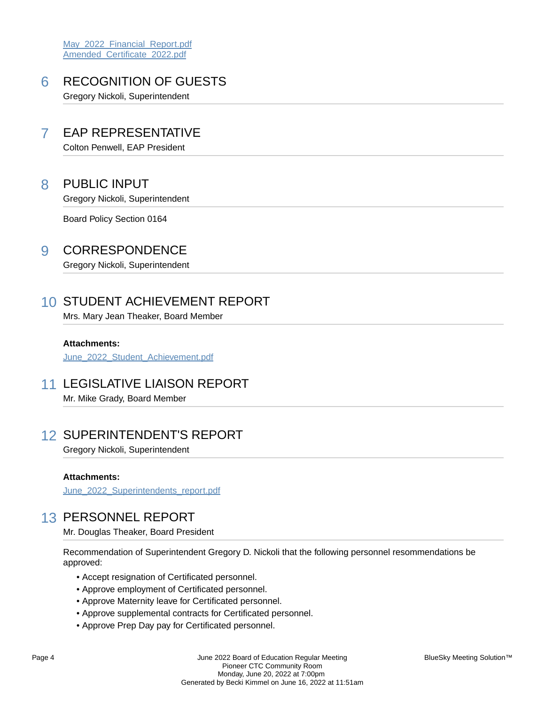May 2022 Financial Report.pdf Amended\_Certificate\_2022.pdf

## 6 RECOGNITION OF GUESTS

Gregory Nickoli, Superintendent

## 7 EAP REPRESENTATIVE

Colton Penwell, EAP President

### 8 PUBLIC INPUT

Gregory Nickoli, Superintendent

Board Policy Section 0164

### 9 CORRESPONDENCE

Gregory Nickoli, Superintendent

## 10 STUDENT ACHIEVEMENT REPORT

Mrs. Mary Jean Theaker, Board Member

**Attachments:**

June 2022 Student Achievement.pdf

### 11 LEGISLATIVE LIAISON REPORT

Mr. Mike Grady, Board Member

## 12 SUPERINTENDENT'S REPORT

Gregory Nickoli, Superintendent

#### **Attachments:**

June 2022 Superintendents report.pdf

## 13 PERSONNEL REPORT

Mr. Douglas Theaker, Board President

Recommendation of Superintendent Gregory D. Nickoli that the following personnel resommendations be approved:

- Accept resignation of Certificated personnel.
- Approve employment of Certificated personnel.
- Approve Maternity leave for Certificated personnel.
- Approve supplemental contracts for Certificated personnel.
- Approve Prep Day pay for Certificated personnel.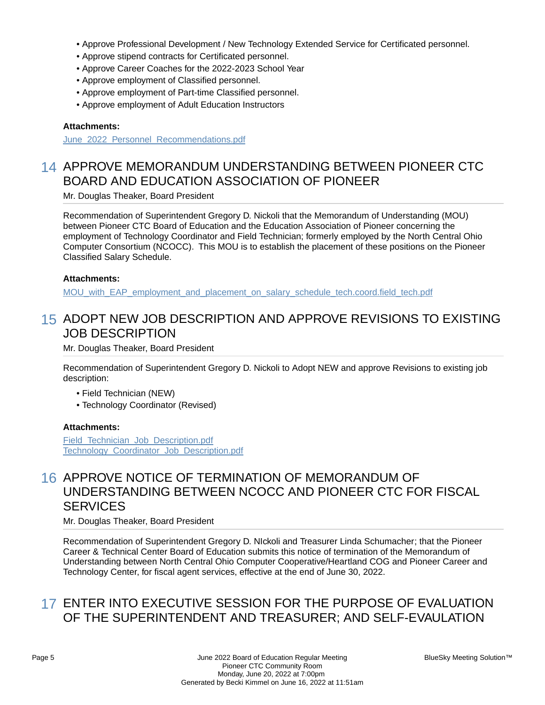- Approve Professional Development / New Technology Extended Service for Certificated personnel.
- Approve stipend contracts for Certificated personnel.
- Approve Career Coaches for the 2022-2023 School Year
- Approve employment of Classified personnel.
- Approve employment of Part-time Classified personnel.
- Approve employment of Adult Education Instructors

### **Attachments:**

June 2022 Personnel Recommendations.pdf

## 14 APPROVE MEMORANDUM UNDERSTANDING BETWEEN PIONEER CTC BOARD AND EDUCATION ASSOCIATION OF PIONEER

Mr. Douglas Theaker, Board President

Recommendation of Superintendent Gregory D. Nickoli that the Memorandum of Understanding (MOU) between Pioneer CTC Board of Education and the Education Association of Pioneer concerning the employment of Technology Coordinator and Field Technician; formerly employed by the North Central Ohio Computer Consortium (NCOCC). This MOU is to establish the placement of these positions on the Pioneer Classified Salary Schedule.

### **Attachments:**

MOU\_with\_EAP\_employment\_and\_placement\_on\_salary\_schedule\_tech.coord.field\_tech.pdf

## 15 ADOPT NEW JOB DESCRIPTION AND APPROVE REVISIONS TO EXISTING JOB DESCRIPTION

Mr. Douglas Theaker, Board President

Recommendation of Superintendent Gregory D. Nickoli to Adopt NEW and approve Revisions to existing job description:

- Field Technician (NEW)
- Technology Coordinator (Revised)

#### **Attachments:**

Field Technician Job Description.pdf Technology\_Coordinator\_Job\_Description.pdf

## 16 APPROVE NOTICE OF TERMINATION OF MEMORANDUM OF UNDERSTANDING BETWEEN NCOCC AND PIONEER CTC FOR FISCAL SERVICES

Mr. Douglas Theaker, Board President

Recommendation of Superintendent Gregory D. NIckoli and Treasurer Linda Schumacher; that the Pioneer Career & Technical Center Board of Education submits this notice of termination of the Memorandum of Understanding between North Central Ohio Computer Cooperative/Heartland COG and Pioneer Career and Technology Center, for fiscal agent services, effective at the end of June 30, 2022.

## 17 ENTER INTO EXECUTIVE SESSION FOR THE PURPOSE OF EVALUATION OF THE SUPERINTENDENT AND TREASURER; AND SELF-EVAULATION